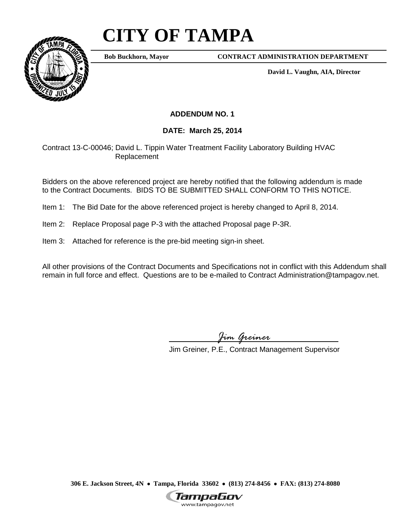## **CITY OF TAMPA**



**Bob Buckhorn, Mayor**

**CONTRACT ADMINISTRATION DEPARTMENT**

**David L. Vaughn, AIA, Director**

## **ADDENDUM NO. 1**

## **DATE: March 25, 2014**

Contract 13-C-00046; David L. Tippin Water Treatment Facility Laboratory Building HVAC Replacement

Bidders on the above referenced project are hereby notified that the following addendum is made to the Contract Documents. BIDS TO BE SUBMITTED SHALL CONFORM TO THIS NOTICE.

- Item 1: The Bid Date for the above referenced project is hereby changed to April 8, 2014.
- Item 2: Replace Proposal page P-3 with the attached Proposal page P-3R.
- Item 3: Attached for reference is the pre-bid meeting sign-in sheet.

All other provisions of the Contract Documents and Specifications not in conflict with this Addendum shall remain in full force and effect. Questions are to be e-mailed to Contract Administration@tampagov.net.

*Jim Greiner*

Jim Greiner, P.E., Contract Management Supervisor

**306 E. Jackson Street, 4N** • **Tampa, Florida 33602** • **(813) 274-8456** • **FAX: (813) 274-8080**

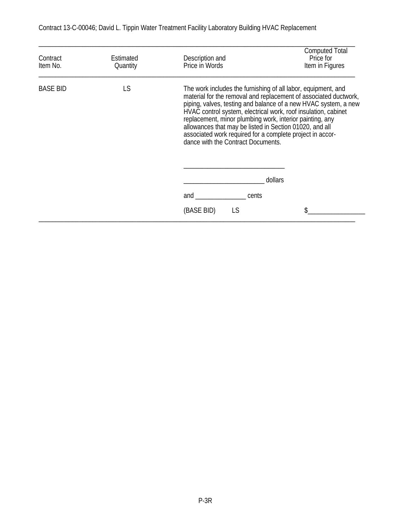| Contract<br>Item No. | Estimated<br>Quantity | Description and<br>Price in Words                                                                                                                                                                                                                                                                                                                                                                                                                                                                           | <b>Computed Total</b><br>Price for<br>Item in Figures |
|----------------------|-----------------------|-------------------------------------------------------------------------------------------------------------------------------------------------------------------------------------------------------------------------------------------------------------------------------------------------------------------------------------------------------------------------------------------------------------------------------------------------------------------------------------------------------------|-------------------------------------------------------|
| <b>BASE BID</b>      | LS                    | The work includes the furnishing of all labor, equipment, and<br>material for the removal and replacement of associated ductwork,<br>piping, valves, testing and balance of a new HVAC system, a new<br>HVAC control system, electrical work, roof insulation, cabinet<br>replacement, minor plumbing work, interior painting, any<br>allowances that may be listed in Section 01020, and all<br>associated work required for a complete project in accor-<br>dance with the Contract Documents.<br>dollars |                                                       |
|                      |                       | cents                                                                                                                                                                                                                                                                                                                                                                                                                                                                                                       |                                                       |
|                      |                       | and                                                                                                                                                                                                                                                                                                                                                                                                                                                                                                         |                                                       |

Contract 13-C-00046; David L. Tippin Water Treatment Facility Laboratory Building HVAC Replacement